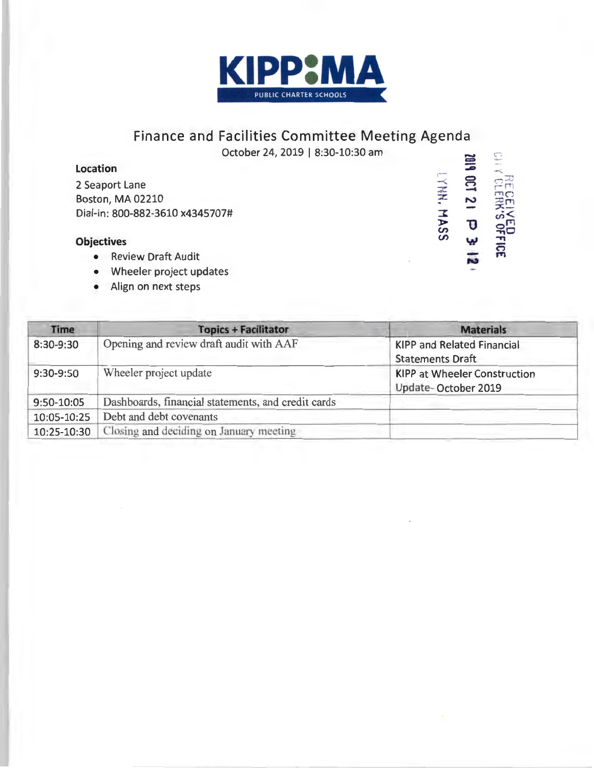

# **Finance and Facilities Committee Meeting Agenda EXAMPLE SERVED**<br> **EXAMPLE 1 D 3**<br> **CINAL SERVED 10**<br> **CINAL MASS**

October 24, 2019 | 8:30-10:30 am

LYHH. MASS

 $\frac{1}{2}$   $\overline{p}$ 

## **Location**

2 Seaport Lane Boston, MA 02210 Dial-in: 800-882-3610 x4345707#

## **Objectives**

- Review Draft Audit
- Wheeler project updates
- Align on next steps

| <b>Time</b> | <b>Topics + Facilitator</b>                        | <b>Materials</b>                                             |
|-------------|----------------------------------------------------|--------------------------------------------------------------|
| 8:30-9:30   | Opening and review draft audit with AAF            | <b>KIPP and Related Financial</b><br><b>Statements Draft</b> |
| 9:30-9:50   | Wheeler project update                             | <b>KIPP at Wheeler Construction</b><br>Update-October 2019   |
| 9:50-10:05  | Dashboards, financial statements, and credit cards |                                                              |
| 10:05-10:25 | Debt and debt covenants                            |                                                              |
| 10:25-10:30 | Closing and deciding on January meeting            |                                                              |